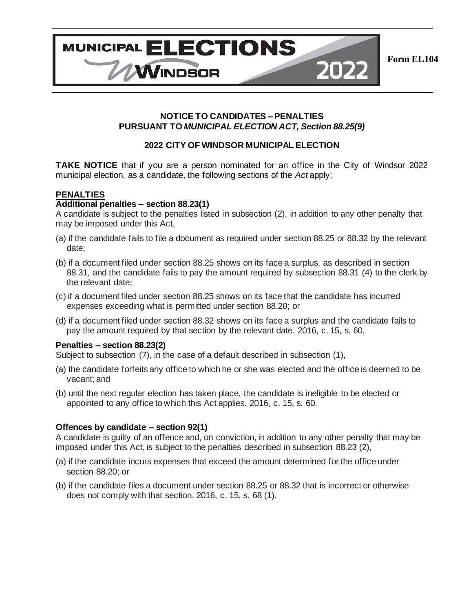

2022

# **NOTICE TO CANDIDATES – PENALTIES PURSUANT TO** *MUNICIPAL ELECTION ACT, Section 88.25(9)*

**MUNICIPAL ELECTIONS** 

WINDSOR

# **2022 CITY OF WINDSOR MUNICIPAL ELECTION**

**TAKE NOTICE** that if you are a person nominated for an office in the City of Windsor 2022 municipal election, as a candidate, the following sections of the *Act* apply:

#### **PENALTIES**

## **Additional penalties – section 88.23(1)**

A candidate is subject to the penalties listed in subsection (2), in addition to any other penalty that may be imposed under this Act,

- (a) if the candidate fails to file a document as required under section 88.25 or 88.32 by the relevant date;
- (b) if a document filed under section 88.25 shows on its face a surplus, as described in section 88.31, and the candidate fails to pay the amount required by subsection 88.31 (4) to the clerk by the relevant date;
- (c) if a document filed under section 88.25 shows on its face that the candidate has incurred expenses exceeding what is permitted under section 88.20; or
- (d) if a document filed under section 88.32 shows on its face a surplus and the candidate fails to pay the amount required by that section by the relevant date. 2016, c. 15, s. 60.

#### **Penalties – section 88.23(2)**

Subject to subsection (7), in the case of a default described in subsection (1),

- (a) the candidate forfeits any office to which he or she was elected and the office is deemed to be vacant; and
- (b) until the next regular election has taken place, the candidate is ineligible to be elected or appointed to any office to which this Act applies. 2016, c. 15, s. 60.

#### **Offences by candidate – section 92(1)**

A candidate is guilty of an offence and, on conviction, in addition to any other penalty that may be imposed under this Act, is subject to the penalties described in subsection 88.23 (2),

- (a) if the candidate incurs expenses that exceed the amount determined for the office under section 88.20; or
- (b) if the candidate files a document under section 88.25 or 88.32 that is incorrect or otherwise does not comply with that section. 2016, c. 15, s. 68 (1).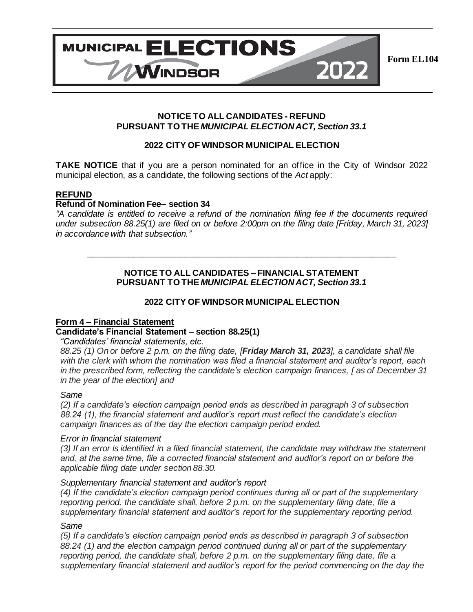

**NOTICE TO ALL CANDIDATES - REFUND PURSUANT TO THE** *MUNICIPAL ELECTION ACT, Section 33.1*

## **2022 CITY OF WINDSOR MUNICIPAL ELECTION**

**TAKE NOTICE** that if you are a person nominated for an office in the City of Windsor 2022 municipal election, as a candidate, the following sections of the *Act* apply:

### **REFUND**

### **Refund of Nomination Fee– section 34**

*"A candidate is entitled to receive a refund of the nomination filing fee if the documents required under subsection 88.25(1) are filed on or before 2:00pm on the filing date [Friday, March 31, 2023] in accordance with that subsection."*

## **NOTICE TO ALL CANDIDATES – FINANCIAL STATEMENT PURSUANT TO THE** *MUNICIPAL ELECTION ACT, Section 33.1*

**\_\_\_\_\_\_\_\_\_\_\_\_\_\_\_\_\_\_\_\_\_\_\_\_\_\_\_\_\_\_\_\_\_\_\_\_\_\_\_\_\_\_\_\_\_\_\_\_\_\_\_\_\_\_\_\_\_\_\_\_\_\_\_\_\_\_**

## **2022 CITY OF WINDSOR MUNICIPAL ELECTION**

#### **Form 4 – Financial Statement**

# **Candidate's Financial Statement – section 88.25(1)**

*"Candidates' financial statements, etc.*

*88.25 (1) On or before 2 p.m. on the filing date, [Friday March 31, 2023], a candidate shall file with the clerk with whom the nomination was filed a financial statement and auditor's report, each in the prescribed form, reflecting the candidate's election campaign finances, [ as of December 31 in the year of the election] and*

#### *Same*

*(2) If a candidate's election campaign period ends as described in paragraph 3 of subsection 88.24 (1), the financial statement and auditor's report must reflect the candidate's election campaign finances as of the day the election campaign period ended.*

#### *Error in financial statement*

*(3) If an error is identified in a filed financial statement, the candidate may withdraw the statement and, at the same time, file a corrected financial statement and auditor's report on or before the applicable filing date under section 88.30.*

#### *Supplementary financial statement and auditor's report*

*(4) If the candidate's election campaign period continues during all or part of the supplementary reporting period, the candidate shall, before 2 p.m. on the supplementary filing date, file a supplementary financial statement and auditor's report for the supplementary reporting period.*

#### *Same*

*(5) If a candidate's election campaign period ends as described in paragraph 3 of subsection 88.24 (1) and the election campaign period continued during all or part of the supplementary reporting period, the candidate shall, before 2 p.m. on the supplementary filing date, file a supplementary financial statement and auditor's report for the period commencing on the day the*